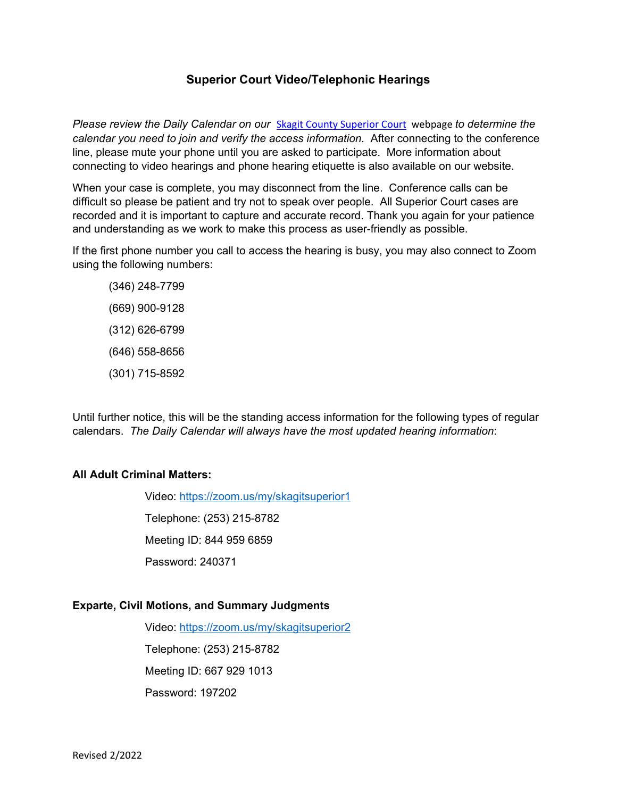# **Superior Court Video/Telephonic Hearings**

*Please review the Daily Calendar on our* Skagit County Superior Court webpage *to determine the calendar you need to join and verify the access information.* After connecting to the conference line, please mute your phone until you are asked to participate. More information about connecting to video hearings and phone hearing etiquette is also available on our website.

When your case is complete, you may disconnect from the line. Conference calls can be difficult so please be patient and try not to speak over people. All Superior Court cases are recorded and it is important to capture and accurate record. Thank you again for your patience and understanding as we work to make this process as user-friendly as possible.

If the first phone number you call to access the hearing is busy, you may also connect to Zoom using the following numbers:

(346) 248-7799 (669) 900-9128 (312) 626-6799 (646) 558-8656 (301) 715-8592

Until further notice, this will be the standing access information for the following types of regular calendars. *The Daily Calendar will always have the most updated hearing information*:

#### **All Adult Criminal Matters:**

Video: https://zoom.us/my/skagitsuperior1

Telephone: (253) 215-8782

Meeting ID: 844 959 6859

Password: 240371

#### **Exparte, Civil Motions, and Summary Judgments**

Video: https://zoom.us/my/skagitsuperior2 Telephone: (253) 215-8782 Meeting ID: 667 929 1013 Password: 197202